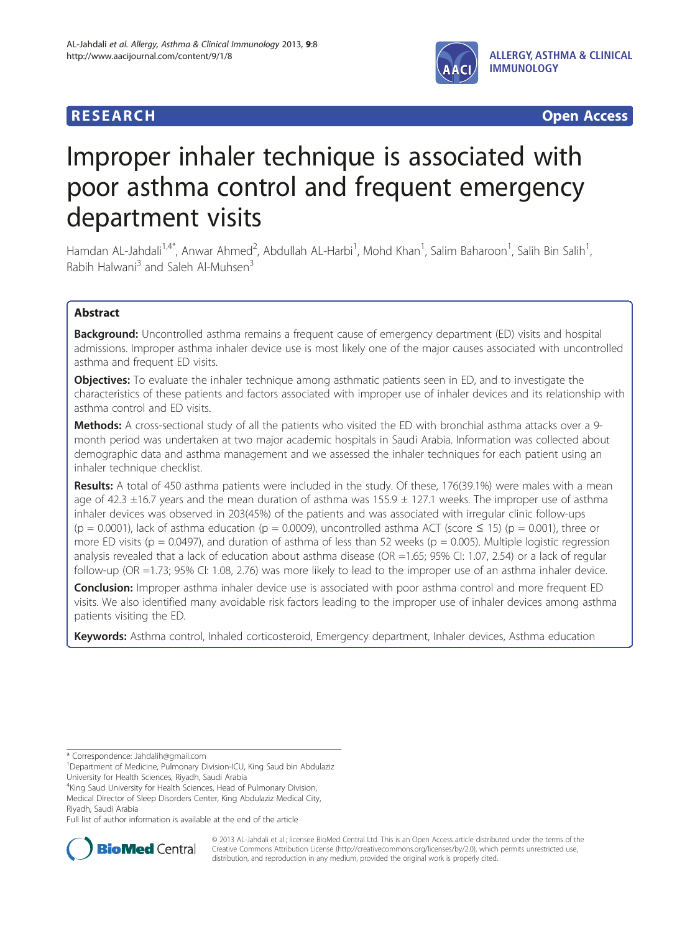

**RESEARCH RESEARCH** *CHECKER CHECKER CONTROLLER CHECKER CHECKER CHECKER CHECKER CHECKER CHECKER* **CHECKER CHECKER** 

# Improper inhaler technique is associated with poor asthma control and frequent emergency department visits

Hamdan AL-Jahdali<sup>1,4\*</sup>, Anwar Ahmed<sup>2</sup>, Abdullah AL-Harbi<sup>1</sup>, Mohd Khan<sup>1</sup>, Salim Baharoon<sup>1</sup>, Salih Bin Salih<sup>1</sup> , Rabih Halwani<sup>3</sup> and Saleh Al-Muhsen<sup>3</sup>

# Abstract

Background: Uncontrolled asthma remains a frequent cause of emergency department (ED) visits and hospital admissions. Improper asthma inhaler device use is most likely one of the major causes associated with uncontrolled asthma and frequent ED visits.

**Objectives:** To evaluate the inhaler technique among asthmatic patients seen in ED, and to investigate the characteristics of these patients and factors associated with improper use of inhaler devices and its relationship with asthma control and ED visits.

Methods: A cross-sectional study of all the patients who visited the ED with bronchial asthma attacks over a 9month period was undertaken at two major academic hospitals in Saudi Arabia. Information was collected about demographic data and asthma management and we assessed the inhaler techniques for each patient using an inhaler technique checklist.

Results: A total of 450 asthma patients were included in the study. Of these, 176(39.1%) were males with a mean age of 42.3  $\pm$ 16.7 years and the mean duration of asthma was 155.9  $\pm$  127.1 weeks. The improper use of asthma inhaler devices was observed in 203(45%) of the patients and was associated with irregular clinic follow-ups  $(p = 0.0001)$ , lack of asthma education  $(p = 0.0009)$ , uncontrolled asthma ACT (score  $\leq 15$ )  $(p = 0.001)$ , three or more ED visits ( $p = 0.0497$ ), and duration of asthma of less than 52 weeks ( $p = 0.005$ ). Multiple logistic regression analysis revealed that a lack of education about asthma disease (OR =1.65; 95% CI: 1.07, 2.54) or a lack of regular follow-up (OR =1.73; 95% CI: 1.08, 2.76) was more likely to lead to the improper use of an asthma inhaler device.

Conclusion: Improper asthma inhaler device use is associated with poor asthma control and more frequent ED visits. We also identified many avoidable risk factors leading to the improper use of inhaler devices among asthma patients visiting the ED.

Keywords: Asthma control, Inhaled corticosteroid, Emergency department, Inhaler devices, Asthma education

\* Correspondence: [Jahdalih@gmail.com](mailto:Jahdalih@gmail.com) <sup>1</sup>

<sup>1</sup>Department of Medicine, Pulmonary Division-ICU, King Saud bin Abdulaziz University for Health Sciences, Riyadh, Saudi Arabia

<sup>4</sup>King Saud University for Health Sciences, Head of Pulmonary Division,

Medical Director of Sleep Disorders Center, King Abdulaziz Medical City, Riyadh, Saudi Arabia

Full list of author information is available at the end of the article



© 2013 AL-Jahdali et al.; licensee BioMed Central Ltd. This is an Open Access article distributed under the terms of the Creative Commons Attribution License (<http://creativecommons.org/licenses/by/2.0>), which permits unrestricted use, distribution, and reproduction in any medium, provided the original work is properly cited.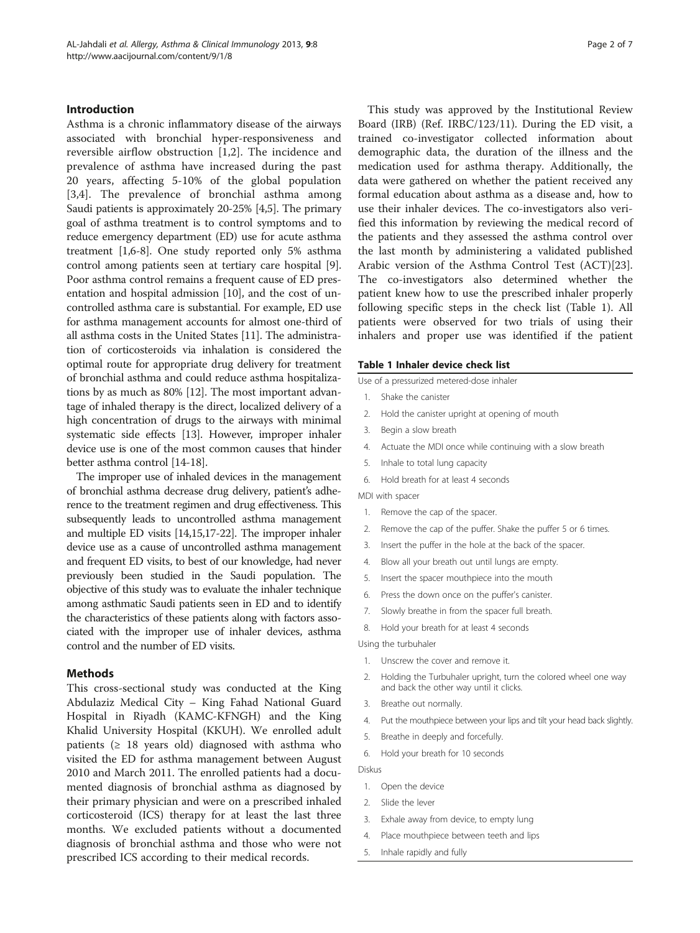# Introduction

Asthma is a chronic inflammatory disease of the airways associated with bronchial hyper-responsiveness and reversible airflow obstruction [[1,2](#page-5-0)]. The incidence and prevalence of asthma have increased during the past 20 years, affecting 5-10% of the global population [[3,4](#page-5-0)]. The prevalence of bronchial asthma among Saudi patients is approximately 20-25% [\[4,5](#page-5-0)]. The primary goal of asthma treatment is to control symptoms and to reduce emergency department (ED) use for acute asthma treatment [\[1,6-8](#page-5-0)]. One study reported only 5% asthma control among patients seen at tertiary care hospital [[9](#page-5-0)]. Poor asthma control remains a frequent cause of ED presentation and hospital admission [[10\]](#page-5-0), and the cost of uncontrolled asthma care is substantial. For example, ED use for asthma management accounts for almost one-third of all asthma costs in the United States [\[11\]](#page-5-0). The administration of corticosteroids via inhalation is considered the optimal route for appropriate drug delivery for treatment of bronchial asthma and could reduce asthma hospitalizations by as much as 80% [\[12\]](#page-5-0). The most important advantage of inhaled therapy is the direct, localized delivery of a high concentration of drugs to the airways with minimal systematic side effects [[13](#page-5-0)]. However, improper inhaler device use is one of the most common causes that hinder better asthma control [[14](#page-5-0)-[18](#page-5-0)].

The improper use of inhaled devices in the management of bronchial asthma decrease drug delivery, patient's adherence to the treatment regimen and drug effectiveness. This subsequently leads to uncontrolled asthma management and multiple ED visits [\[14,15,17-22](#page-5-0)]. The improper inhaler device use as a cause of uncontrolled asthma management and frequent ED visits, to best of our knowledge, had never previously been studied in the Saudi population. The objective of this study was to evaluate the inhaler technique among asthmatic Saudi patients seen in ED and to identify the characteristics of these patients along with factors associated with the improper use of inhaler devices, asthma control and the number of ED visits.

# Methods

This cross-sectional study was conducted at the King Abdulaziz Medical City – King Fahad National Guard Hospital in Riyadh (KAMC-KFNGH) and the King Khalid University Hospital (KKUH). We enrolled adult patients ( $\geq$  18 years old) diagnosed with asthma who visited the ED for asthma management between August 2010 and March 2011. The enrolled patients had a documented diagnosis of bronchial asthma as diagnosed by their primary physician and were on a prescribed inhaled corticosteroid (ICS) therapy for at least the last three months. We excluded patients without a documented diagnosis of bronchial asthma and those who were not prescribed ICS according to their medical records.

This study was approved by the Institutional Review Board (IRB) (Ref. IRBC/123/11). During the ED visit, a trained co-investigator collected information about demographic data, the duration of the illness and the medication used for asthma therapy. Additionally, the data were gathered on whether the patient received any formal education about asthma as a disease and, how to use their inhaler devices. The co-investigators also verified this information by reviewing the medical record of the patients and they assessed the asthma control over the last month by administering a validated published Arabic version of the Asthma Control Test (ACT)[\[23](#page-6-0)]. The co-investigators also determined whether the patient knew how to use the prescribed inhaler properly following specific steps in the check list (Table 1). All patients were observed for two trials of using their inhalers and proper use was identified if the patient

#### Table 1 Inhaler device check list

Use of a pressurized metered-dose inhaler

- 1. Shake the canister
- 2. Hold the canister upright at opening of mouth
- 3. Begin a slow breath
- 4. Actuate the MDI once while continuing with a slow breath
- 5. Inhale to total lung capacity
- 6. Hold breath for at least 4 seconds

# MDI with spacer

- 1. Remove the cap of the spacer.
- 2. Remove the cap of the puffer. Shake the puffer 5 or 6 times.
- 3. Insert the puffer in the hole at the back of the spacer.
- 4. Blow all your breath out until lungs are empty.
- 5. Insert the spacer mouthpiece into the mouth
- 6. Press the down once on the puffer's canister.
- 7. Slowly breathe in from the spacer full breath.
- 8. Hold your breath for at least 4 seconds

#### Using the turbuhaler

- 1. Unscrew the cover and remove it.
- 2. Holding the Turbuhaler upright, turn the colored wheel one way and back the other way until it clicks.
- 3. Breathe out normally.
- 4. Put the mouthpiece between your lips and tilt your head back slightly.
- 5. Breathe in deeply and forcefully.
- 6. Hold your breath for 10 seconds

Diskus

- 1. Open the device
- 2. Slide the lever
- 3. Exhale away from device, to empty lung
- 4. Place mouthpiece between teeth and lips
- 5. Inhale rapidly and fully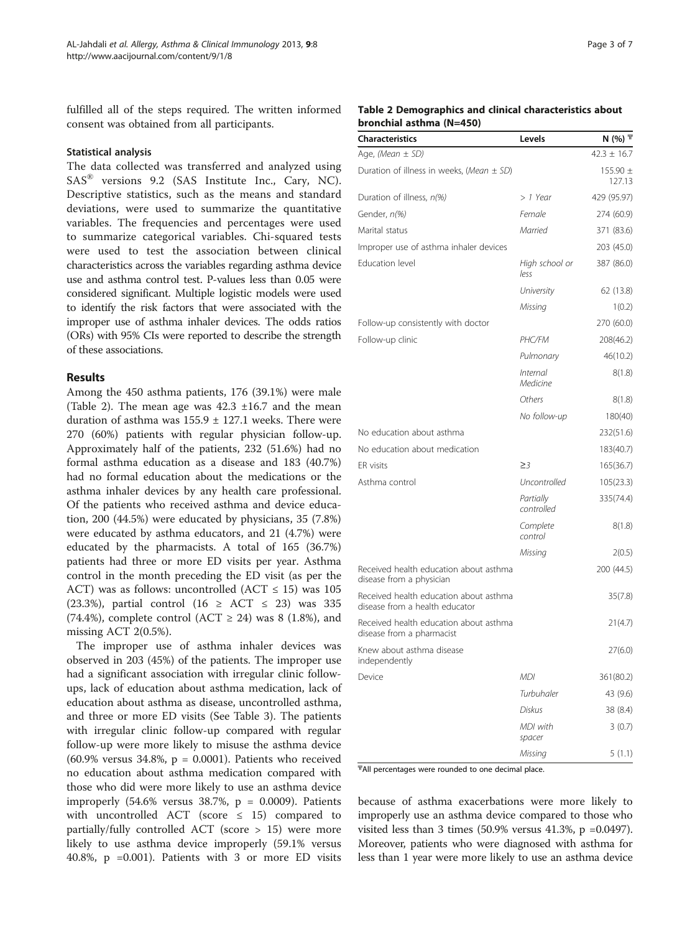fulfilled all of the steps required. The written informed consent was obtained from all participants.

## Statistical analysis

The data collected was transferred and analyzed using SAS® versions 9.2 (SAS Institute Inc., Cary, NC). Descriptive statistics, such as the means and standard deviations, were used to summarize the quantitative variables. The frequencies and percentages were used to summarize categorical variables. Chi-squared tests were used to test the association between clinical characteristics across the variables regarding asthma device use and asthma control test. P-values less than 0.05 were considered significant. Multiple logistic models were used to identify the risk factors that were associated with the improper use of asthma inhaler devices. The odds ratios (ORs) with 95% CIs were reported to describe the strength of these associations.

# Results

Among the 450 asthma patients, 176 (39.1%) were male (Table 2). The mean age was  $42.3 \pm 16.7$  and the mean duration of asthma was  $155.9 \pm 127.1$  weeks. There were 270 (60%) patients with regular physician follow-up. Approximately half of the patients, 232 (51.6%) had no formal asthma education as a disease and 183 (40.7%) had no formal education about the medications or the asthma inhaler devices by any health care professional. Of the patients who received asthma and device education, 200 (44.5%) were educated by physicians, 35 (7.8%) were educated by asthma educators, and 21 (4.7%) were educated by the pharmacists. A total of 165 (36.7%) patients had three or more ED visits per year. Asthma control in the month preceding the ED visit (as per the ACT) was as follows: uncontrolled (ACT  $\leq$  15) was 105 (23.3%), partial control (16  $\geq$  ACT  $\leq$  23) was 335  $(74.4\%)$ , complete control  $(ACT \geq 24)$  was 8  $(1.8\%)$ , and missing ACT 2(0.5%).

The improper use of asthma inhaler devices was observed in 203 (45%) of the patients. The improper use had a significant association with irregular clinic followups, lack of education about asthma medication, lack of education about asthma as disease, uncontrolled asthma, and three or more ED visits (See Table [3](#page-3-0)). The patients with irregular clinic follow-up compared with regular follow-up were more likely to misuse the asthma device (60.9% versus 34.8%, p = 0.0001). Patients who received no education about asthma medication compared with those who did were more likely to use an asthma device improperly  $(54.6\%$  versus 38.7%,  $p = 0.0009$ ). Patients with uncontrolled ACT (score  $\leq$  15) compared to partially/fully controlled ACT (score > 15) were more likely to use asthma device improperly (59.1% versus 40.8%, p =0.001). Patients with 3 or more ED visits

# Table 2 Demographics and clinical characteristics about bronchial asthma (N=450)

| <b>Characteristics</b>                                                   | Levels                      | N $(%)$ $\overline{T}$ |
|--------------------------------------------------------------------------|-----------------------------|------------------------|
| Age, (Mean $\pm$ SD)                                                     |                             | $42.3 \pm 16.7$        |
| Duration of illness in weeks, (Mean $\pm$ SD)                            |                             | 155.90 $\pm$<br>127.13 |
| Duration of illness, n(%)                                                | $> 1$ Year                  | 429 (95.97)            |
| Gender, n(%)                                                             | Female                      | 274 (60.9)             |
| Marital status                                                           | Married                     | 371 (83.6)             |
| Improper use of asthma inhaler devices                                   |                             | 203 (45.0)             |
| Education level                                                          | High school or<br>less      | 387 (86.0)             |
|                                                                          | University                  | 62 (13.8)              |
|                                                                          | Missing                     | 1(0.2)                 |
| Follow-up consistently with doctor                                       |                             | 270 (60.0)             |
| Follow-up clinic                                                         | PHC/FM                      | 208(46.2)              |
|                                                                          | Pulmonary                   | 46(10.2)               |
|                                                                          | <i>Internal</i><br>Medicine | 8(1.8)                 |
|                                                                          | Others                      | 8(1.8)                 |
|                                                                          | No follow-up                | 180(40)                |
| No education about asthma                                                |                             | 232(51.6)              |
| No education about medication                                            |                             | 183(40.7)              |
| ER visits                                                                | $\geq$ 3                    | 165(36.7)              |
| Asthma control                                                           | Uncontrolled                | 105(23.3)              |
|                                                                          | Partially<br>controlled     | 335(74.4)              |
|                                                                          | Complete<br>control         | 8(1.8)                 |
|                                                                          | Missing                     | 2(0.5)                 |
| Received health education about asthma<br>disease from a physician       |                             | 200 (44.5)             |
| Received health education about asthma<br>disease from a health educator |                             | 35(7.8)                |
| Received health education about asthma<br>disease from a pharmacist      |                             | 21(4.7)                |
| Knew about asthma disease<br>independently                               |                             | 27(6.0)                |
| Device                                                                   | MDI                         | 361(80.2)              |
|                                                                          | Turbuhaler                  | 43 (9.6)               |
|                                                                          | Diskus                      | 38 (8.4)               |
|                                                                          | MDI with<br>spacer          | 3(0.7)                 |
|                                                                          | Missing                     | 5(1.1)                 |

 $\overline{\text{A}}$ Il percentages were rounded to one decimal place.

because of asthma exacerbations were more likely to improperly use an asthma device compared to those who visited less than 3 times  $(50.9\% \text{ versus } 41.3\%, \text{ p } = 0.0497)$ . Moreover, patients who were diagnosed with asthma for less than 1 year were more likely to use an asthma device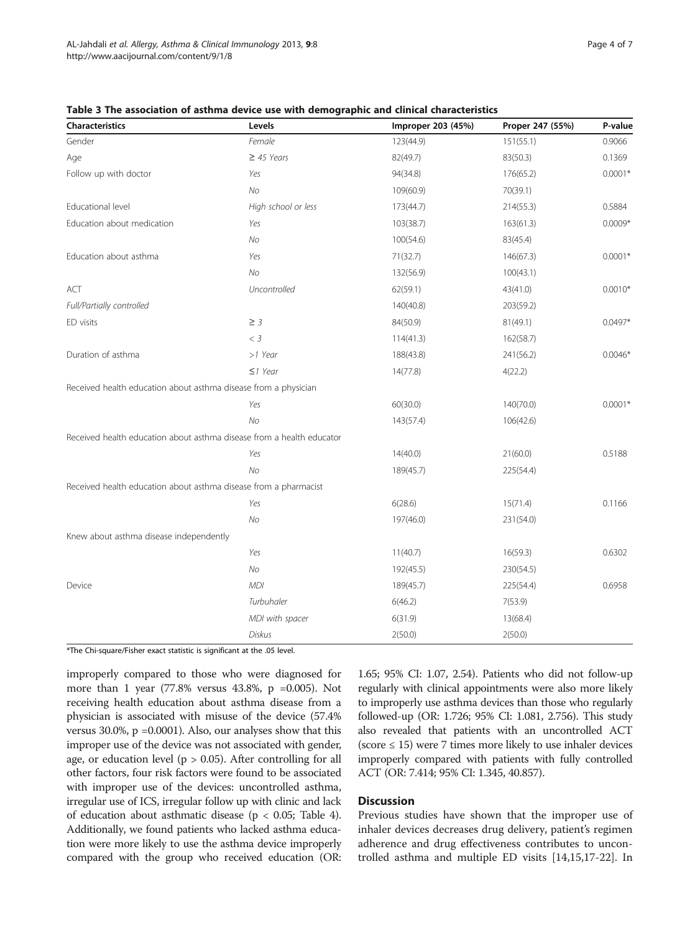| Characteristics                                                       | Levels              | Improper 203 (45%) | Proper 247 (55%) | P-value   |
|-----------------------------------------------------------------------|---------------------|--------------------|------------------|-----------|
| Gender                                                                | Female              | 123(44.9)          | 151(55.1)        | 0.9066    |
| Age                                                                   | $\geq$ 45 Years     | 82(49.7)           | 83(50.3)         | 0.1369    |
| Follow up with doctor                                                 | Yes                 | 94(34.8)           | 176(65.2)        | $0.0001*$ |
|                                                                       | N <sub>O</sub>      | 109(60.9)          | 70(39.1)         |           |
| Educational level                                                     | High school or less | 173(44.7)          | 214(55.3)        | 0.5884    |
| Education about medication                                            | Yes                 | 103(38.7)          | 163(61.3)        | $0.0009*$ |
|                                                                       | No                  | 100(54.6)          | 83(45.4)         |           |
| Education about asthma                                                | Yes                 | 71(32.7)           | 146(67.3)        | $0.0001*$ |
|                                                                       | No                  | 132(56.9)          | 100(43.1)        |           |
| ACT                                                                   | Uncontrolled        | 62(59.1)           | 43(41.0)         | $0.0010*$ |
| Full/Partially controlled                                             |                     | 140(40.8)          | 203(59.2)        |           |
| ED visits                                                             | $\geq$ 3            | 84(50.9)           | 81(49.1)         | $0.0497*$ |
|                                                                       | $<$ 3               | 114(41.3)          | 162(58.7)        |           |
| Duration of asthma                                                    | >1 Year             | 188(43.8)          | 241(56.2)        | $0.0046*$ |
|                                                                       | $\leq$ 1 Year       | 14(77.8)           | 4(22.2)          |           |
| Received health education about asthma disease from a physician       |                     |                    |                  |           |
|                                                                       | Yes                 | 60(30.0)           | 140(70.0)        | $0.0001*$ |
|                                                                       | No                  | 143(57.4)          | 106(42.6)        |           |
| Received health education about asthma disease from a health educator |                     |                    |                  |           |
|                                                                       | Yes                 | 14(40.0)           | 21(60.0)         | 0.5188    |
|                                                                       | No                  | 189(45.7)          | 225(54.4)        |           |
| Received health education about asthma disease from a pharmacist      |                     |                    |                  |           |
|                                                                       | Yes                 | 6(28.6)            | 15(71.4)         | 0.1166    |
|                                                                       | N <sub>O</sub>      | 197(46.0)          | 231(54.0)        |           |
| Knew about asthma disease independently                               |                     |                    |                  |           |
|                                                                       | Yes                 | 11(40.7)           | 16(59.3)         | 0.6302    |
|                                                                       | No                  | 192(45.5)          | 230(54.5)        |           |
| Device                                                                | <b>MDI</b>          | 189(45.7)          | 225(54.4)        | 0.6958    |
|                                                                       | Turbuhaler          | 6(46.2)            | 7(53.9)          |           |
|                                                                       | MDI with spacer     | 6(31.9)            | 13(68.4)         |           |
|                                                                       | Diskus              | 2(50.0)            | 2(50.0)          |           |

<span id="page-3-0"></span>Table 3 The association of asthma device use with demographic and clinical characteristics

\*The Chi-square/Fisher exact statistic is significant at the .05 level.

improperly compared to those who were diagnosed for more than 1 year  $(77.8\% \text{ versus } 43.8\% , p = 0.005)$ . Not receiving health education about asthma disease from a physician is associated with misuse of the device (57.4% versus 30.0%, p =0.0001). Also, our analyses show that this improper use of the device was not associated with gender, age, or education level ( $p > 0.05$ ). After controlling for all other factors, four risk factors were found to be associated with improper use of the devices: uncontrolled asthma, irregular use of ICS, irregular follow up with clinic and lack of education about asthmatic disease ( $p < 0.05$ ; Table [4](#page-4-0)). Additionally, we found patients who lacked asthma education were more likely to use the asthma device improperly compared with the group who received education (OR:

1.65; 95% CI: 1.07, 2.54). Patients who did not follow-up regularly with clinical appointments were also more likely to improperly use asthma devices than those who regularly followed-up (OR: 1.726; 95% CI: 1.081, 2.756). This study also revealed that patients with an uncontrolled ACT  $(score \leq 15)$  were 7 times more likely to use inhaler devices improperly compared with patients with fully controlled ACT (OR: 7.414; 95% CI: 1.345, 40.857).

# **Discussion**

Previous studies have shown that the improper use of inhaler devices decreases drug delivery, patient's regimen adherence and drug effectiveness contributes to uncontrolled asthma and multiple ED visits [\[14,15,17-22](#page-5-0)]. In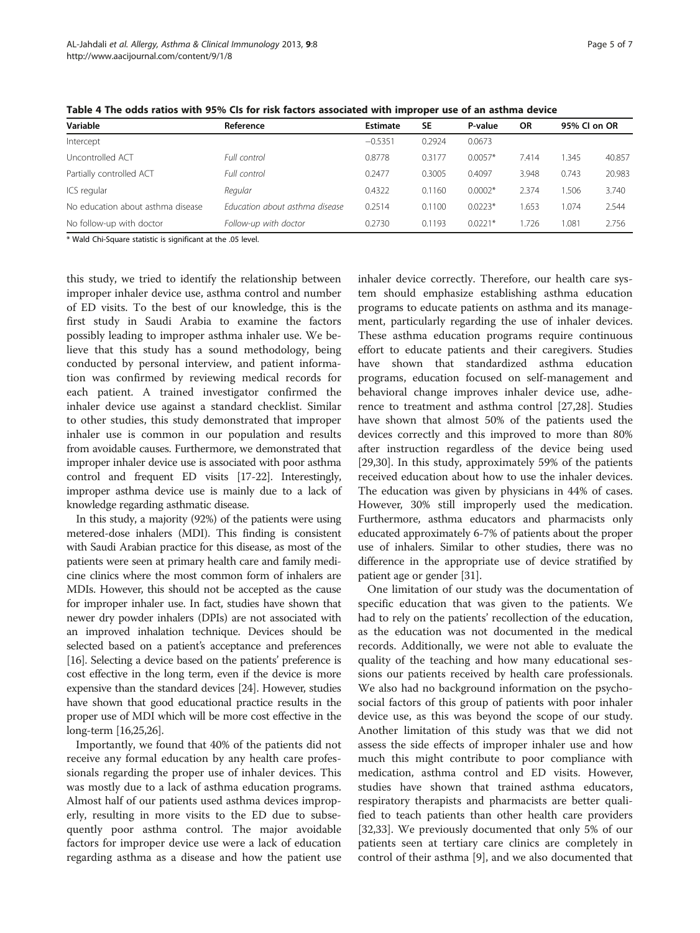| Variable                          | Reference                      | Estimate  | <b>SE</b> | P-value   | 95% CI on OR<br><b>OR</b> |       |        |
|-----------------------------------|--------------------------------|-----------|-----------|-----------|---------------------------|-------|--------|
| Intercept                         |                                | $-0.5351$ | 0.2924    | 0.0673    |                           |       |        |
| Uncontrolled ACT                  | Full control                   | 0.8778    | 0.3177    | $0.0057*$ | 7.414                     | 1.345 | 40.857 |
| Partially controlled ACT          | Full control                   | 0.2477    | 0.3005    | 0.4097    | 3.948                     | 0.743 | 20.983 |
| ICS regular                       | Regular                        | 0.4322    | 0.1160    | $0.0002*$ | 2.374                     | 1.506 | 3.740  |
| No education about asthma disease | Fducation about asthma disease | 0.2514    | 0.1100    | $0.0223*$ | .653                      | 1.074 | 2.544  |
| No follow-up with doctor          | Follow-up with doctor          | 0.2730    | 0.1193    | $0.0221*$ | .726                      | 1.081 | 2.756  |

<span id="page-4-0"></span>Table 4 The odds ratios with 95% CIs for risk factors associated with improper use of an asthma device

\* Wald Chi-Square statistic is significant at the .05 level.

this study, we tried to identify the relationship between improper inhaler device use, asthma control and number of ED visits. To the best of our knowledge, this is the first study in Saudi Arabia to examine the factors possibly leading to improper asthma inhaler use. We believe that this study has a sound methodology, being conducted by personal interview, and patient information was confirmed by reviewing medical records for each patient. A trained investigator confirmed the inhaler device use against a standard checklist. Similar to other studies, this study demonstrated that improper inhaler use is common in our population and results from avoidable causes. Furthermore, we demonstrated that improper inhaler device use is associated with poor asthma control and frequent ED visits [[17](#page-5-0)-[22](#page-5-0)]. Interestingly, improper asthma device use is mainly due to a lack of knowledge regarding asthmatic disease.

In this study, a majority (92%) of the patients were using metered-dose inhalers (MDI). This finding is consistent with Saudi Arabian practice for this disease, as most of the patients were seen at primary health care and family medicine clinics where the most common form of inhalers are MDIs. However, this should not be accepted as the cause for improper inhaler use. In fact, studies have shown that newer dry powder inhalers (DPIs) are not associated with an improved inhalation technique. Devices should be selected based on a patient's acceptance and preferences [[16](#page-5-0)]. Selecting a device based on the patients' preference is cost effective in the long term, even if the device is more expensive than the standard devices [[24](#page-6-0)]. However, studies have shown that good educational practice results in the proper use of MDI which will be more cost effective in the long-term [[16](#page-5-0)[,25,26](#page-6-0)].

Importantly, we found that 40% of the patients did not receive any formal education by any health care professionals regarding the proper use of inhaler devices. This was mostly due to a lack of asthma education programs. Almost half of our patients used asthma devices improperly, resulting in more visits to the ED due to subsequently poor asthma control. The major avoidable factors for improper device use were a lack of education regarding asthma as a disease and how the patient use

inhaler device correctly. Therefore, our health care system should emphasize establishing asthma education programs to educate patients on asthma and its management, particularly regarding the use of inhaler devices. These asthma education programs require continuous effort to educate patients and their caregivers. Studies have shown that standardized asthma education programs, education focused on self-management and behavioral change improves inhaler device use, adherence to treatment and asthma control [[27,28\]](#page-6-0). Studies have shown that almost 50% of the patients used the devices correctly and this improved to more than 80% after instruction regardless of the device being used [[29,30\]](#page-6-0). In this study, approximately 59% of the patients received education about how to use the inhaler devices. The education was given by physicians in 44% of cases. However, 30% still improperly used the medication. Furthermore, asthma educators and pharmacists only educated approximately 6-7% of patients about the proper use of inhalers. Similar to other studies, there was no difference in the appropriate use of device stratified by patient age or gender [\[31\]](#page-6-0).

One limitation of our study was the documentation of specific education that was given to the patients. We had to rely on the patients' recollection of the education, as the education was not documented in the medical records. Additionally, we were not able to evaluate the quality of the teaching and how many educational sessions our patients received by health care professionals. We also had no background information on the psychosocial factors of this group of patients with poor inhaler device use, as this was beyond the scope of our study. Another limitation of this study was that we did not assess the side effects of improper inhaler use and how much this might contribute to poor compliance with medication, asthma control and ED visits. However, studies have shown that trained asthma educators, respiratory therapists and pharmacists are better qualified to teach patients than other health care providers [[32,33\]](#page-6-0). We previously documented that only 5% of our patients seen at tertiary care clinics are completely in control of their asthma [\[9](#page-5-0)], and we also documented that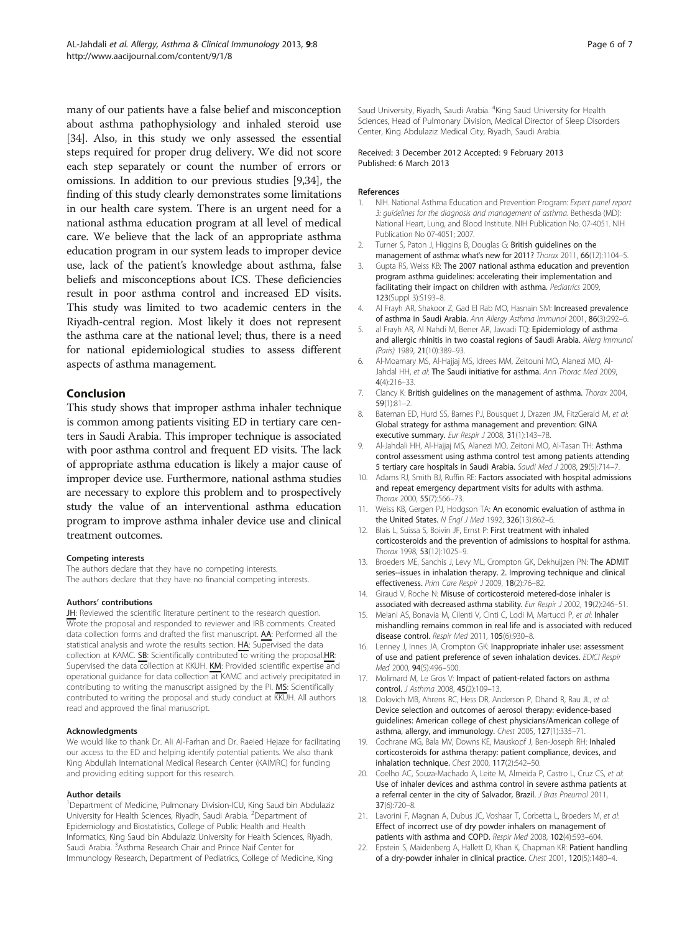<span id="page-5-0"></span>many of our patients have a false belief and misconception about asthma pathophysiology and inhaled steroid use [[34](#page-6-0)]. Also, in this study we only assessed the essential steps required for proper drug delivery. We did not score each step separately or count the number of errors or omissions. In addition to our previous studies [9[,34\]](#page-6-0), the finding of this study clearly demonstrates some limitations in our health care system. There is an urgent need for a national asthma education program at all level of medical care. We believe that the lack of an appropriate asthma education program in our system leads to improper device use, lack of the patient's knowledge about asthma, false beliefs and misconceptions about ICS. These deficiencies result in poor asthma control and increased ED visits. This study was limited to two academic centers in the Riyadh-central region. Most likely it does not represent the asthma care at the national level; thus, there is a need for national epidemiological studies to assess different aspects of asthma management.

# Conclusion

This study shows that improper asthma inhaler technique is common among patients visiting ED in tertiary care centers in Saudi Arabia. This improper technique is associated with poor asthma control and frequent ED visits. The lack of appropriate asthma education is likely a major cause of improper device use. Furthermore, national asthma studies are necessary to explore this problem and to prospectively study the value of an interventional asthma education program to improve asthma inhaler device use and clinical treatment outcomes.

#### Competing interests

The authors declare that they have no competing interests. The authors declare that they have no financial competing interests.

#### Authors' contributions

JH: Reviewed the scientific literature pertinent to the research question. Wrote the proposal and responded to reviewer and IRB comments. Created data collection forms and drafted the first manuscript. **AA**: Performed all the statistical analysis and wrote the results section. HA: Supervised the data collection at KAMC. SB: Scientifically contributed to writing the proposal.HR: Supervised the data collection at KKUH. KM: Provided scientific expertise and operational guidance for data collection at KAMC and actively precipitated in contributing to writing the manuscript assigned by the PI. MS: Scientifically contributed to writing the proposal and study conduct at KKUH. All authors read and approved the final manuscript.

#### Acknowledgments

We would like to thank Dr. Ali Al-Farhan and Dr. Raeied Hejaze for facilitating our access to the ED and helping identify potential patients. We also thank King Abdullah International Medical Research Center (KAIMRC) for funding and providing editing support for this research.

#### Author details

<sup>1</sup>Department of Medicine, Pulmonary Division-ICU, King Saud bin Abdulaziz University for Health Sciences, Riyadh, Saudi Arabia. <sup>2</sup>Department of Epidemiology and Biostatistics, College of Public Health and Health Informatics, King Saud bin Abdulaziz University for Health Sciences, Riyadh, Saudi Arabia. <sup>3</sup>Asthma Research Chair and Prince Naif Center for Immunology Research, Department of Pediatrics, College of Medicine, King

Saud University, Riyadh, Saudi Arabia. <sup>4</sup>King Saud University for Health Sciences, Head of Pulmonary Division, Medical Director of Sleep Disorders Center, King Abdulaziz Medical City, Riyadh, Saudi Arabia.

#### Received: 3 December 2012 Accepted: 9 February 2013 Published: 6 March 2013

#### References

- 1. NIH. National Asthma Education and Prevention Program: Expert panel report 3: guidelines for the diagnosis and management of asthma. Bethesda (MD): National Heart, Lung, and Blood Institute. NIH Publication No. 07-4051. NIH Publication No 07-4051; 2007.
- 2. Turner S, Paton J, Higgins B, Douglas G: British guidelines on the management of asthma: what's new for 2011? Thorax 2011, 66(12):1104–5.
- 3. Gupta RS, Weiss KB: The 2007 national asthma education and prevention program asthma guidelines: accelerating their implementation and facilitating their impact on children with asthma. Pediatrics 2009, 123(Suppl 3):S193–8.
- 4. Al Frayh AR, Shakoor Z, Gad El Rab MO, Hasnain SM: Increased prevalence of asthma in Saudi Arabia. Ann Allergy Asthma Immunol 2001, 86(3):292–6.
- al Frayh AR, Al Nahdi M, Bener AR, Jawadi TQ: Epidemiology of asthma and allergic rhinitis in two coastal regions of Saudi Arabia. Allerg Immunol (Paris) 1989, 21(10):389–93.
- 6. Al-Moamary MS, Al-Hajjaj MS, Idrees MM, Zeitouni MO, Alanezi MO, Al-Jahdal HH, et al: The Saudi initiative for asthma. Ann Thorac Med 2009, 4(4):216–33.
- 7. Clancy K: British quidelines on the management of asthma. Thorax 2004, 59(1):81–2.
- 8. Bateman ED, Hurd SS, Barnes PJ, Bousquet J, Drazen JM, FitzGerald M, et al: Global strategy for asthma management and prevention: GINA executive summary. Eur Respir J 2008, 31(1):143–78.
- 9. Al-Jahdali HH, Al-Hajjaj MS, Alanezi MO, Zeitoni MO, Al-Tasan TH: Asthma control assessment using asthma control test among patients attending 5 tertiary care hospitals in Saudi Arabia. Saudi Med J 2008, 29(5):714–7.
- 10. Adams RJ, Smith BJ, Ruffin RE: Factors associated with hospital admissions and repeat emergency department visits for adults with asthma. Thorax 2000, 55(7):566–73.
- 11. Weiss KB, Gergen PJ, Hodgson TA: An economic evaluation of asthma in the United States. N Engl J Med 1992, 326(13):862–6.
- 12. Blais L, Suissa S, Boivin JF, Ernst P: First treatment with inhaled corticosteroids and the prevention of admissions to hospital for asthma. Thorax 1998, 53(12):1025–9.
- 13. Broeders ME, Sanchis J, Levy ML, Crompton GK, Dekhuijzen PN: The ADMIT series--issues in inhalation therapy. 2. Improving technique and clinical effectiveness. Prim Care Respir J 2009, 18(2):76–82.
- 14. Giraud V, Roche N: Misuse of corticosteroid metered-dose inhaler is associated with decreased asthma stability. Eur Respir J 2002, 19(2):246-51.
- 15. Melani AS, Bonavia M, Cilenti V, Cinti C, Lodi M, Martucci P, et al: Inhaler mishandling remains common in real life and is associated with reduced disease control. Respir Med 2011, 105(6):930–8.
- 16. Lenney J, Innes JA, Crompton GK: Inappropriate inhaler use: assessment of use and patient preference of seven inhalation devices. EDICI Respir Med 2000, 94(5):496–500.
- 17. Molimard M, Le Gros V: Impact of patient-related factors on asthma control. *J Asthma* 2008, 45(2):109-13.
- 18. Dolovich MB, Ahrens RC, Hess DR, Anderson P, Dhand R, Rau JL, et al: Device selection and outcomes of aerosol therapy: evidence-based guidelines: American college of chest physicians/American college of asthma, allergy, and immunology. Chest 2005, 127(1):335–71.
- 19. Cochrane MG, Bala MV, Downs KE, Mauskopf J, Ben-Joseph RH: Inhaled corticosteroids for asthma therapy: patient compliance, devices, and inhalation technique. Chest 2000, 117(2):542–50.
- 20. Coelho AC, Souza-Machado A, Leite M, Almeida P, Castro L, Cruz CS, et al: Use of inhaler devices and asthma control in severe asthma patients at a referral center in the city of Salvador, Brazil. J Bras Pneumol 2011, 37(6):720–8.
- 21. Lavorini F, Magnan A, Dubus JC, Voshaar T, Corbetta L, Broeders M, et al: Effect of incorrect use of dry powder inhalers on management of patients with asthma and COPD. Respir Med 2008, 102(4):593–604.
- 22. Epstein S, Maidenberg A, Hallett D, Khan K, Chapman KR: Patient handling of a dry-powder inhaler in clinical practice. Chest 2001, 120(5):1480–4.